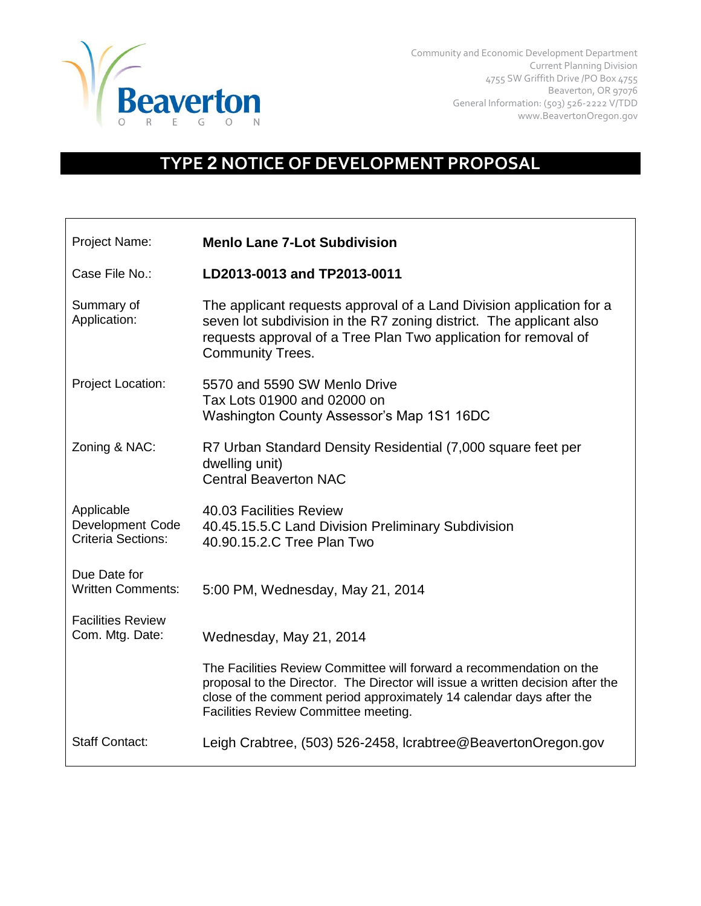

Community and Economic Development Department Current Planning Division 4755 SW Griffith Drive /PO Box 4755 Beaverton, OR 97076 General Information: (503) 526-2222 V/TDD www.BeavertonOregon.gov

## **TYPE 2 NOTICE OF DEVELOPMENT PROPOSAL**

| Project Name:                                               | <b>Menlo Lane 7-Lot Subdivision</b>                                                                                                                                                                                                                                    |
|-------------------------------------------------------------|------------------------------------------------------------------------------------------------------------------------------------------------------------------------------------------------------------------------------------------------------------------------|
| Case File No.:                                              | LD2013-0013 and TP2013-0011                                                                                                                                                                                                                                            |
| Summary of<br>Application:                                  | The applicant requests approval of a Land Division application for a<br>seven lot subdivision in the R7 zoning district. The applicant also<br>requests approval of a Tree Plan Two application for removal of<br><b>Community Trees.</b>                              |
| Project Location:                                           | 5570 and 5590 SW Menlo Drive<br>Tax Lots 01900 and 02000 on<br>Washington County Assessor's Map 1S1 16DC                                                                                                                                                               |
| Zoning & NAC:                                               | R7 Urban Standard Density Residential (7,000 square feet per<br>dwelling unit)<br><b>Central Beaverton NAC</b>                                                                                                                                                         |
| Applicable<br>Development Code<br><b>Criteria Sections:</b> | 40.03 Facilities Review<br>40.45.15.5.C Land Division Preliminary Subdivision<br>40.90.15.2.C Tree Plan Two                                                                                                                                                            |
| Due Date for<br><b>Written Comments:</b>                    | 5:00 PM, Wednesday, May 21, 2014                                                                                                                                                                                                                                       |
| <b>Facilities Review</b><br>Com. Mtg. Date:                 | Wednesday, May 21, 2014                                                                                                                                                                                                                                                |
|                                                             | The Facilities Review Committee will forward a recommendation on the<br>proposal to the Director. The Director will issue a written decision after the<br>close of the comment period approximately 14 calendar days after the<br>Facilities Review Committee meeting. |
| <b>Staff Contact:</b>                                       | Leigh Crabtree, (503) 526-2458, Icrabtree@BeavertonOregon.gov                                                                                                                                                                                                          |